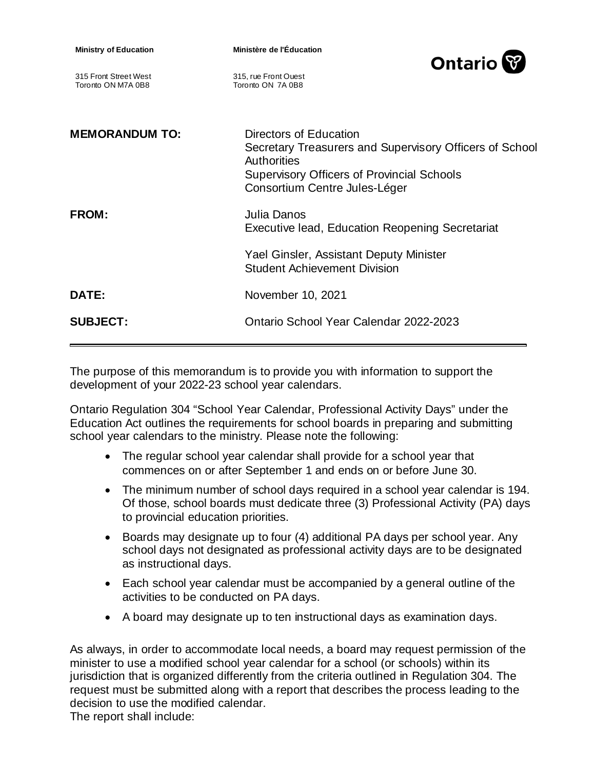| <b>Ministry of Education</b>                | Ministère de l'Éducation<br><b>Ontario</b>                                                                                                                                                    |
|---------------------------------------------|-----------------------------------------------------------------------------------------------------------------------------------------------------------------------------------------------|
| 315 Front Street West<br>Toronto ON M7A 0B8 | 315, rue Front Ouest<br>Toronto ON 7A 0B8                                                                                                                                                     |
| <b>MEMORANDUM TO:</b>                       | Directors of Education<br>Secretary Treasurers and Supervisory Officers of School<br><b>Authorities</b><br><b>Supervisory Officers of Provincial Schools</b><br>Consortium Centre Jules-Léger |
| <b>FROM:</b>                                | Julia Danos<br><b>Executive lead, Education Reopening Secretariat</b>                                                                                                                         |
|                                             | Yael Ginsler, Assistant Deputy Minister<br><b>Student Achievement Division</b>                                                                                                                |
| DATE:                                       | November 10, 2021                                                                                                                                                                             |
| <b>SUBJECT:</b>                             | Ontario School Year Calendar 2022-2023                                                                                                                                                        |

The purpose of this memorandum is to provide you with information to support the development of your 2022-23 school year calendars.

Ontario Regulation 304 "School Year Calendar, Professional Activity Days" under the Education Act outlines the requirements for school boards in preparing and submitting school year calendars to the ministry. Please note the following:

- The regular school year calendar shall provide for a school year that commences on or after September 1 and ends on or before June 30.
- The minimum number of school days required in a school year calendar is 194. Of those, school boards must dedicate three (3) Professional Activity (PA) days to provincial education priorities.
- Boards may designate up to four (4) additional PA days per school year. Any school days not designated as professional activity days are to be designated as instructional days.
- Each school year calendar must be accompanied by a general outline of the activities to be conducted on PA days.
- A board may designate up to ten instructional days as examination days.

As always, in order to accommodate local needs, a board may request permission of the minister to use a modified school year calendar for a school (or schools) within its jurisdiction that is organized differently from the criteria outlined in Regulation 304. The request must be submitted along with a report that describes the process leading to the decision to use the modified calendar.

The report shall include: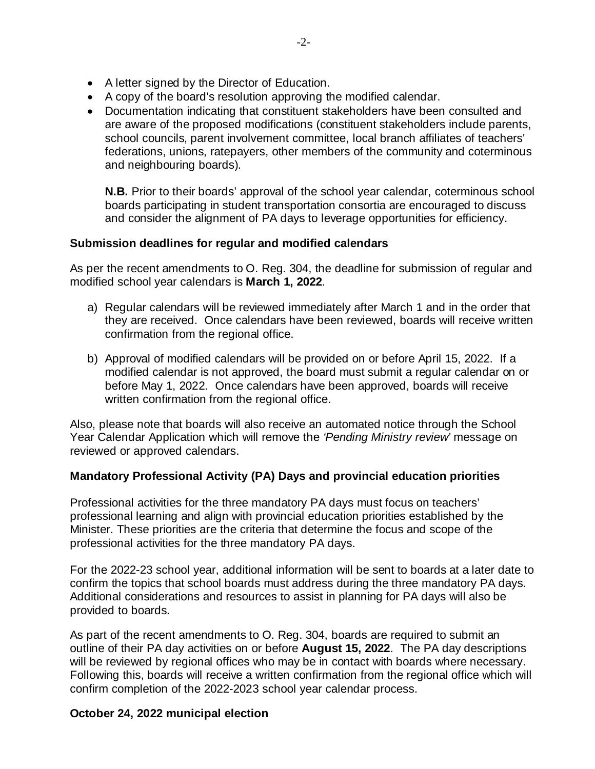- A letter signed by the Director of Education.
- A copy of the board's resolution approving the modified calendar.
- Documentation indicating that constituent stakeholders have been consulted and are aware of the proposed modifications (constituent stakeholders include parents, school councils, parent involvement committee, local branch affiliates of teachers' federations, unions, ratepayers, other members of the community and coterminous and neighbouring boards).

**N.B.** Prior to their boards' approval of the school year calendar, coterminous school boards participating in student transportation consortia are encouraged to discuss and consider the alignment of PA days to leverage opportunities for efficiency.

## **Submission deadlines for regular and modified calendars**

As per the recent amendments to O. Reg. 304, the deadline for submission of regular and modified school year calendars is **March 1, 2022**.

- a) Regular calendars will be reviewed immediately after March 1 and in the order that they are received. Once calendars have been reviewed, boards will receive written confirmation from the regional office.
- b) Approval of modified calendars will be provided on or before April 15, 2022. If a modified calendar is not approved, the board must submit a regular calendar on or before May 1, 2022. Once calendars have been approved, boards will receive written confirmation from the regional office.

Also, please note that boards will also receive an automated notice through the School Year Calendar Application which will remove the *'Pending Ministry review'* message on reviewed or approved calendars.

## **Mandatory Professional Activity (PA) Days and provincial education priorities**

Professional activities for the three mandatory PA days must focus on teachers' professional learning and align with provincial education priorities established by the Minister. These priorities are the criteria that determine the focus and scope of the professional activities for the three mandatory PA days.

For the 2022-23 school year, additional information will be sent to boards at a later date to confirm the topics that school boards must address during the three mandatory PA days. Additional considerations and resources to assist in planning for PA days will also be provided to boards.

As part of the recent amendments to O. Reg. 304, boards are required to submit an outline of their PA day activities on or before **August 15, 2022**. The PA day descriptions will be reviewed by regional offices who may be in contact with boards where necessary. Following this, boards will receive a written confirmation from the regional office which will confirm completion of the 2022-2023 school year calendar process.

## **October 24, 2022 municipal election**